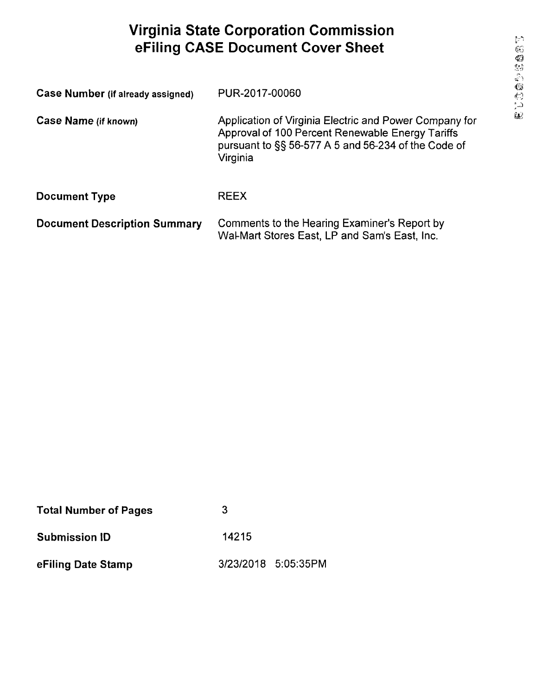## Virginia State Corporation Commission eFiling CASE Document Cover Sheet

| <b>Case Number (if already assigned)</b> | PUR-2017-00060                                                                                                                                                                |
|------------------------------------------|-------------------------------------------------------------------------------------------------------------------------------------------------------------------------------|
| Case Name (if known)                     | Application of Virginia Electric and Power Company for<br>Approval of 100 Percent Renewable Energy Tariffs<br>pursuant to §§ 56-577 A 5 and 56-234 of the Code of<br>Virginia |
| <b>Document Type</b>                     | <b>REEX</b>                                                                                                                                                                   |
| <b>Document Description Summary</b>      | Comments to the Hearing Examiner's Report by<br>Wal-Mart Stores East, LP and Sam's East, Inc.                                                                                 |

| <b>Total Number of Pages</b> | 3     |                     |
|------------------------------|-------|---------------------|
| <b>Submission ID</b>         | 14215 |                     |
| eFiling Date Stamp           |       | 3/23/2018 5:05:35PM |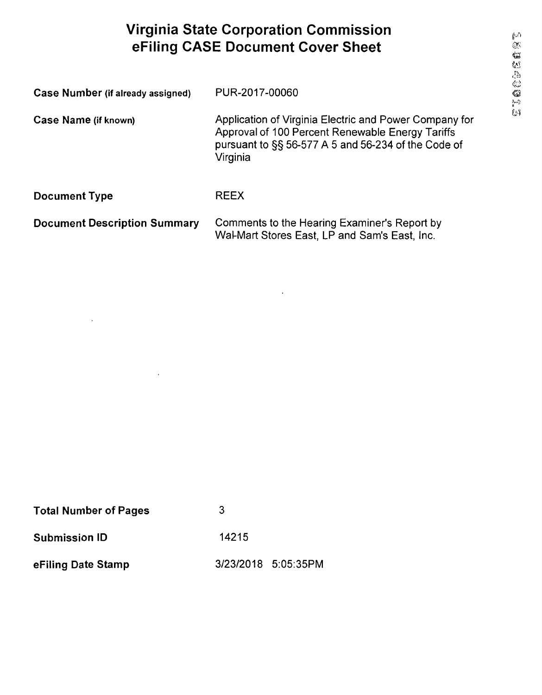## Virginia State Corporation Commission eFiling CASE Document Cover Sheet

| Case Number (if already assigned) | PUR-2017-00060                                                                                                                                                                |
|-----------------------------------|-------------------------------------------------------------------------------------------------------------------------------------------------------------------------------|
| Case Name (if known)              | Application of Virginia Electric and Power Company for<br>Approval of 100 Percent Renewable Energy Tariffs<br>pursuant to SS 56-577 A 5 and 56-234 of the Code of<br>Virginia |
| <b>Document Type</b>              | <b>RFFX</b>                                                                                                                                                                   |

Document Description Summary Comments to the Hearing Examiner's Report by Wal-Mart Stores East, LP and Sam's East, Inc.

 $\mathbf{A}$  and  $\mathbf{A}$  are  $\mathbf{A}$  . Then

| <b>Total Number of Pages</b> | 3     |                     |
|------------------------------|-------|---------------------|
| <b>Submission ID</b>         | 14215 |                     |
| eFiling Date Stamp           |       | 3/23/2018 5:05:35PM |

 $\bar{\mathbf{r}}$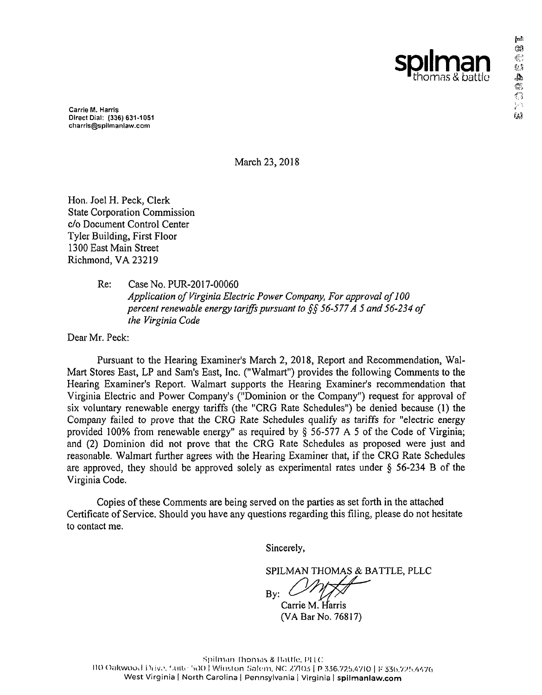Carrie M. Harris Direct Dial: (336) 631-1051 charris@spilmanlaw.com

March 23,2018

Hon. Joel H. Peck, Clerk State Corporation Commission c/o Document Control Center Tyler Building, First Floor 1300 East Main Street Richmond, VA 23219

> Re: Case No. PUR-2017-00060 Application of Virginia Electric Power Company, For approval of 100 percent renewable energy tariffs pursuant to §§ 56-577 A 5 and 56-234 of the Virginia Code

Dear Mr. Peck:

Pursuant to the Hearing Examiner's March 2, 2018, Report and Recommendation, Wal-Mart Stores East, LP and Sam's East, Inc. ("Walmart") provides the following Comments to the Hearing Examiner's Report. Walmart supports the Hearing Examiner's recommendation that Virginia Electric and Power Company's ("Dominion or the Company") request for approval of six voluntary renewable energy tariffs (the "CRG Rate Schedules") be denied because (1) the Company failed to prove that the CRG Rate Schedules qualify as tariffs for "electric energy provided 100% from renewable energy" as required by § 56-577 A 5 of the Code of Virginia; and (2) Dominion did not prove that the CRG Rate Schedules as proposed were just and reasonable. Walmart further agrees with the Hearing Examiner that, if the CRG Rate Schedules are approved, they should be approved solely as experimental rates under § 56-234 B of the Virginia Code.

Copies of these Comments are being served on the parties as set forth in the attached Certificate of Service. Should you have any questions regarding this filing, please do not hesitate to contact me.

Sincerely,

SPILMAN THOMAS & BATTLE, PLLC

By:

Carrie M. Harris (VA Bar No. 76817)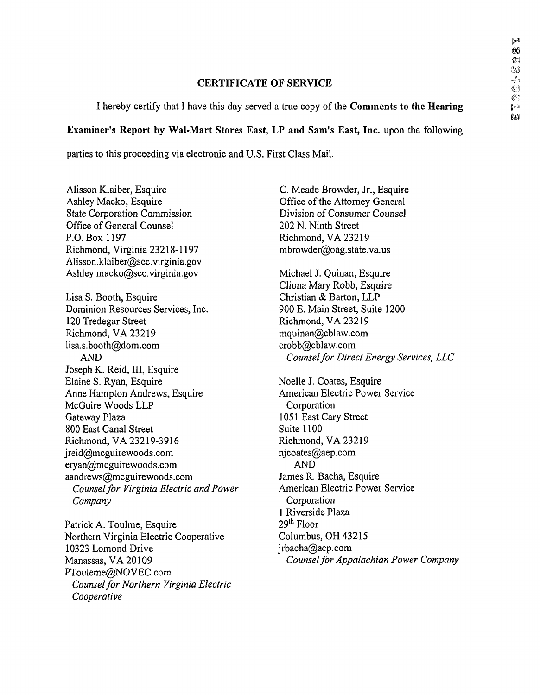## CERTIFICATE OF SERVICE

I hereby certify that I have this day served a true copy of the **Comments to the Hearing** 

## Examiner's Report by Wal-Mart Stores East, LP and Sam's East, Inc. upon the following

parties to this proceeding via electronic and U.S. First Class Mail.

Alisson Klaiber, Esquire Ashley Macko, Esquire State Corporation Commission Office of General Counsel P.O. Box 1197 Richmond, Virginia 23218-1197 Alisson.klaiber@scc.virginia.gov Ashley.macko@scc.virginia.gov Lisa S. Booth, Esquire Dominion Resources Services, Inc. 120 Tredegar Street Richmond, VA 23219 lisa.s.booth@dom.com AND Joseph K. Reid, III, Esquire Elaine S. Ryan, Esquire Anne Hampton Andrews, Esquire McGuire Woods LLP Gateway Plaza 800 East Canal Street Richmond, VA 23219-3916 jreid@mcguirewoods.com eryan@mcguirewoods.com aandrews@mcguirewoods.com Counsel for Virginia Electric and Power Company

Patrick A. Toulme, Esquire Northern Virginia Electric Cooperative 10323 Lomond Drive Manassas, VA 20109 PTouleme@NOVEC.com Counsel for Northern Virginia Electric Cooperative

C. Meade Browder, Jr., Esquire Office of the Attorney General Division of Consumer Counsel 202 N. Ninth Street Richmond, VA 23219 mbrowder@oag.state.va.us

Michael J. Quinan, Esquire Cliona Mary Robb, Esquire Christian & Barton, LLP 900 E. Main Street, Suite 1200 Richmond, VA 23219 mquinan@cblaw.com crobb@cblaw.com Counsel for Direct Energy Services, LLC

Noelle J. Coates, Esquire American Electric Power Service **Corporation** 1051 East Gary Street Suite 1100 Richmond, VA 23219 njcoates@aep.com AND James R. Bacha, Esquire American Electric Power Service Corporation 1 Riverside Plaza 29lh Floor Columbus, OH 43215 jrbacha@aep.com Counsel for Appalachian Power Company